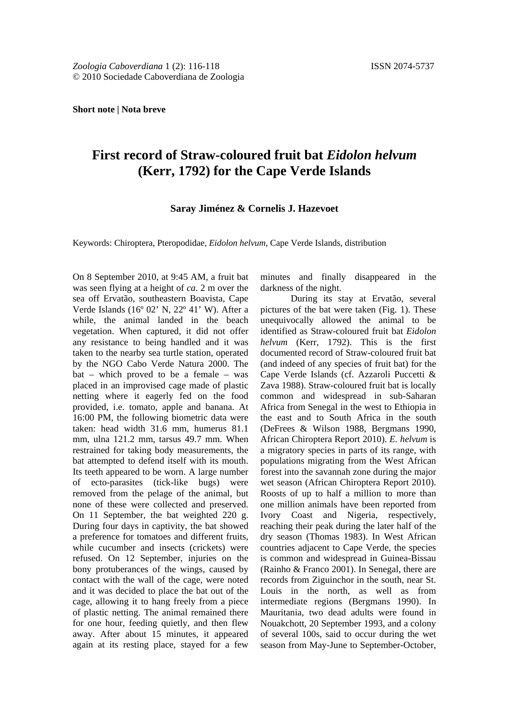**Short note | Nota breve**

## **First record of Straw-coloured fruit bat** *Eidolon helvum*  **(Kerr, 1792) for the Cape Verde Islands**

**Saray Jiménez & Cornelis J. Hazevoet**

Keywords: Chiroptera, Pteropodidae, *Eidolon helvum*, Cape Verde Islands, distribution

On 8 September 2010, at 9:45 AM, a fruit bat was seen flying at a height of *ca*. 2 m over the sea off Ervatão, southeastern Boavista, Cape Verde Islands (16º 02' N, 22º 41' W). After a while, the animal landed in the beach vegetation. When captured, it did not offer any resistance to being handled and it was taken to the nearby sea turtle station, operated by the NGO Cabo Verde Natura 2000. The bat – which proved to be a female – was placed in an improvised cage made of plastic netting where it eagerly fed on the food provided, i.e. tomato, apple and banana. At 16:00 PM, the following biometric data were taken: head width 31.6 mm, humerus 81.1 mm, ulna 121.2 mm, tarsus 49.7 mm. When restrained for taking body measurements, the bat attempted to defend itself with its mouth. Its teeth appeared to be worn. A large number of ecto-parasites (tick-like bugs) were removed from the pelage of the animal, but none of these were collected and preserved. On 11 September, the bat weighted 220 g. During four days in captivity, the bat showed a preference for tomatoes and different fruits, while cucumber and insects (crickets) were refused. On 12 September, injuries on the bony protuberances of the wings, caused by contact with the wall of the cage, were noted and it was decided to place the bat out of the cage, allowing it to hang freely from a piece of plastic netting. The animal remained there for one hour, feeding quietly, and then flew away. After about 15 minutes, it appeared again at its resting place, stayed for a few

minutes and finally disappeared in the darkness of the night.

During its stay at Ervatão, several pictures of the bat were taken (Fig. 1). These unequivocally allowed the animal to be identified as Straw-coloured fruit bat *Eidolon helvum* (Kerr, 1792). This is the first documented record of Straw-coloured fruit bat (and indeed of any species of fruit bat) for the Cape Verde Islands (cf. Azzaroli Puccetti & Zava 1988). Straw-coloured fruit bat is locally common and widespread in sub-Saharan Africa from Senegal in the west to Ethiopia in the east and to South Africa in the south (DeFrees & Wilson 1988, Bergmans 1990, African Chiroptera Report 2010). *E. helvum* is a migratory species in parts of its range, with populations migrating from the West African forest into the savannah zone during the major wet season (African Chiroptera Report 2010). Roosts of up to half a million to more than one million animals have been reported from Ivory Coast and Nigeria, respectively, reaching their peak during the later half of the dry season (Thomas 1983). In West African countries adjacent to Cape Verde, the species is common and widespread in Guinea-Bissau (Rainho & Franco 2001). In Senegal, there are records from Ziguinchor in the south, near St. Louis in the north, as well as from intermediate regions (Bergmans 1990). In Mauritania, two dead adults were found in Nouakchott, 20 September 1993, and a colony of several 100s, said to occur during the wet season from May-June to September-October,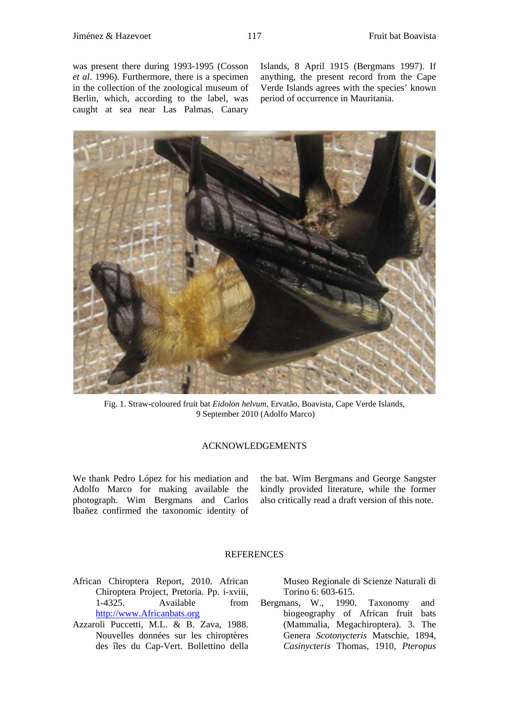was present there during 1993-1995 (Cosson *et al*. 1996). Furthermore, there is a specimen in the collection of the zoological museum of Berlin, which, according to the label, was caught at sea near Las Palmas, Canary

Islands, 8 April 1915 (Bergmans 1997). If anything, the present record from the Cape Verde Islands agrees with the species' known period of occurrence in Mauritania.



Fig. 1. Straw-coloured fruit bat *Eidolon helvum*, Ervatão, Boavista, Cape Verde Islands, 9 September 2010 (Adolfo Marco)

## ACKNOWLEDGEMENTS

We thank Pedro López for his mediation and Adolfo Marco for making available the photograph. Wim Bergmans and Carlos Ibañez confirmed the taxonomic identity of

the bat. Wim Bergmans and George Sangster kindly provided literature, while the former also critically read a draft version of this note.

## **REFERENCES**

- African Chiroptera Report, 2010. African Chiroptera Project, Pretoria. Pp. i-xviii, 1-4325. Available from [http://www.Africanbats.org](https://sites.google.com/site/africanbats/african-chiroptera-report)
- Azzaroli Puccetti, M.L. & B. Zava, 1988. Nouvelles données sur les chiroptères des îles du Cap-Vert. Bollettino della

Museo Regionale di Scienze Naturali di Torino 6: 603-615.

Bergmans, W., 1990. Taxonomy and biogeography of African fruit bats (Mammalia, Megachiroptera). 3. The Genera *Scotonycteris* Matschie, 1894, *Casinycteris* Thomas, 1910, *Pteropus*